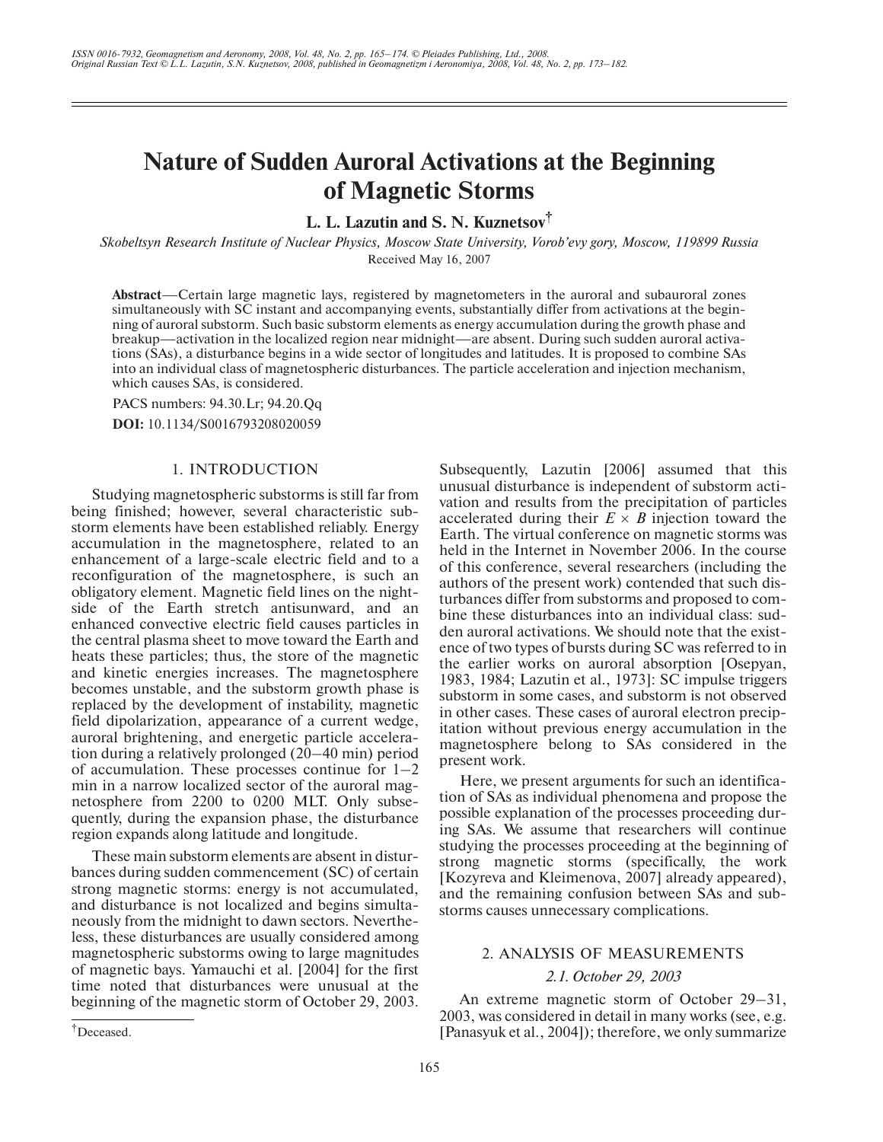# **Nature of Sudden Auroral Activations at the Beginning of Magnetic Storms**

**L. L. Lazutin and S. N. Kuznetsov†**

*Skobeltsyn Research Institute of Nuclear Physics, Moscow State University, Vorob'evy gory, Moscow, 119899 Russia* Received May 16, 2007

**Abstract**—Certain large magnetic lays, registered by magnetometers in the auroral and subauroral zones simultaneously with SC instant and accompanying events, substantially differ from activations at the begin ning of auroral substorm. Such basic substorm elements as energy accumulation during the growth phase and breakup—activation in the localized region near midnight—are absent. During such sudden auroral activa tions (SAs), a disturbance begins in a wide sector of longitudes and latitudes. It is proposed to combine SAs into an individual class of magnetospheric disturbances. The particle acceleration and injection mechanism, which causes SAs, is considered.

PACS numbers: 94.30.Lr; 94.20.Qq **DOI:** 10.1134/S0016793208020059

## 1. INTRODUCTION

Studying magnetospheric substorms is still far from being finished; however, several characteristic sub storm elements have been established reliably. Energy accumulation in the magnetosphere, related to an enhancement of a large-scale electric field and to a reconfiguration of the magnetosphere, is such an obligatory element. Magnetic field lines on the night side of the Earth stretch antisunward, and an enhanced convective electric field causes particles in the central plasma sheet to move toward the Earth and heats these particles; thus, the store of the magnetic and kinetic energies increases. The magnetosphere becomes unstable, and the substorm growth phase is replaced by the development of instability, magnetic field dipolarization, appearance of a current wedge, auroral brightening, and energetic particle accelera tion during a relatively prolonged (20–40 min) period of accumulation. These processes continue for  $1-2$ min in a narrow localized sector of the auroral mag netosphere from 2200 to 0200 MLT. Only subse quently, during the expansion phase, the disturbance region expands along latitude and longitude.

These main substorm elements are absent in distur bances during sudden commencement (SC) of certain strong magnetic storms: energy is not accumulated, and disturbance is not localized and begins simulta neously from the midnight to dawn sectors. Neverthe less, these disturbances are usually considered among magnetospheric substorms owing to large magnitudes of magnetic bays. Yamauchi et al. [2004] for the first time noted that disturbances were unusual at the beginning of the magnetic storm of October 29, 2003.

Here, we present arguments for such an identifica tion of SAs as individual phenomena and propose the possible explanation of the processes proceeding dur ing SAs. We assume that researchers will continue studying the processes proceeding at the beginning of strong magnetic storms (specifically, the work [Kozyreva and Kleimenova, 2007] already appeared), and the remaining confusion between SAs and sub storms causes unnecessary complications.

# 2. ANALYSIS OF MEASUREMENTS

## *2.1. October 29, 2003*

An extreme magnetic storm of October 29–31, 2003, was considered in detail in many works (see, e.g. [Panasyuk et al., 2004]); therefore, we only summarize

Subsequently, Lazutin [2006] assumed that this unusual disturbance is independent of substorm acti vation and results from the precipitation of particles accelerated during their  $E \times B$  injection toward the Earth. The virtual conference on magnetic storms was held in the Internet in November 2006. In the course of this conference, several researchers (including the authors of the present work) contended that such dis turbances differ from substorms and proposed to com bine these disturbances into an individual class: sud den auroral activations. We should note that the exist ence of two types of bursts during SC was referred to in the earlier works on auroral absorption [Osepyan, 1983, 1984; Lazutin et al., 1973]: SC impulse triggers substorm in some cases, and substorm is not observed in other cases. These cases of auroral electron precip itation without previous energy accumulation in the magnetosphere belong to SAs considered in the present work.

<sup>†</sup>Deceased.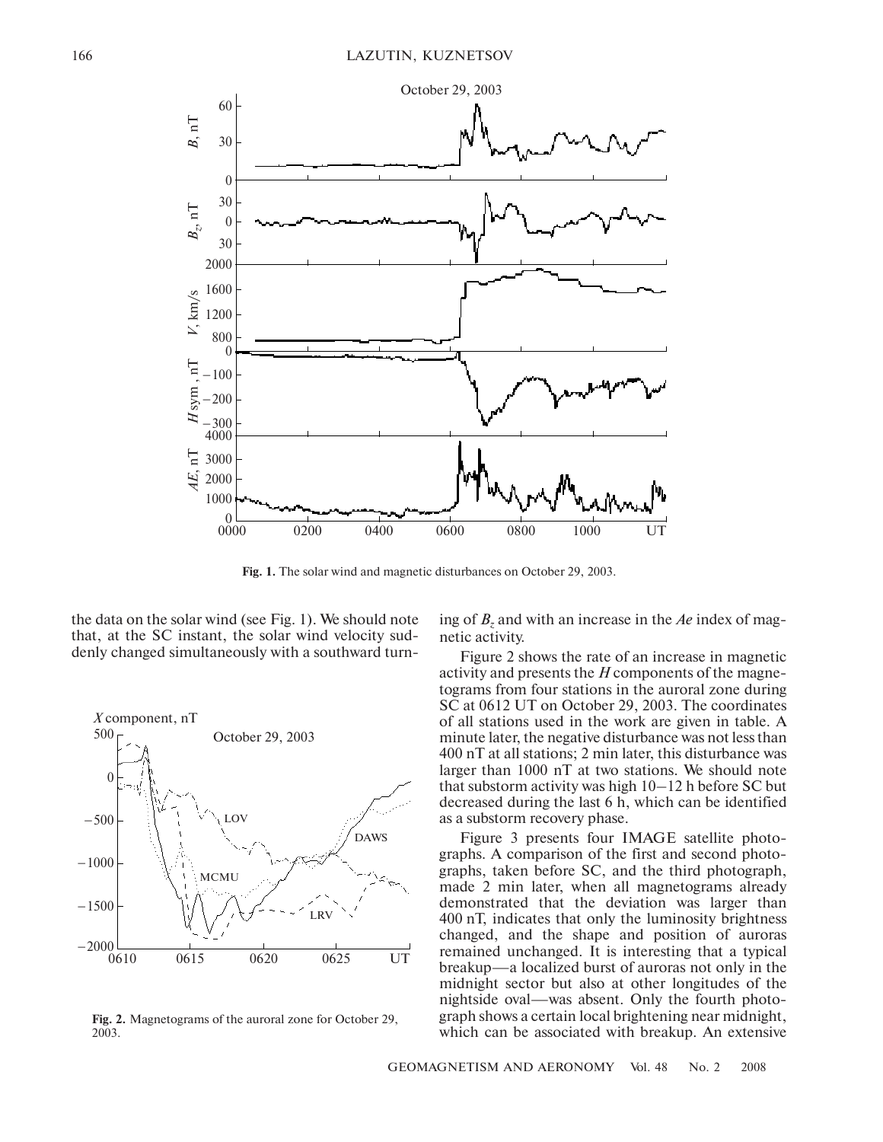

**Fig. 1.** The solar wind and magnetic disturbances on October 29, 2003.

the data on the solar wind (see Fig. 1). We should note that, at the SC instant, the solar wind velocity sud denly changed simultaneously with a southward turn



**Fig. 2.** Magnetograms of the auroral zone for October 29, 2003.

ing of *Bz* and with an increase in the *Ae* index of mag netic activity.

Figure 2 shows the rate of an increase in magnetic activity and presents the *H* components of the magne tograms from four stations in the auroral zone during SC at 0612 UT on October 29, 2003. The coordinates of all stations used in the work are given in table. A minute later, the negative disturbance was not less than 400 nT at all stations; 2 min later, this disturbance was larger than 1000 nT at two stations. We should note that substorm activity was high 10–12 h before SC but decreased during the last 6 h, which can be identified as a substorm recovery phase.

Figure 3 presents four IMAGE satellite photo graphs. A comparison of the first and second photo graphs, taken before SC, and the third photograph, made 2 min later, when all magnetograms already demonstrated that the deviation was larger than 400 nT, indicates that only the luminosity brightness changed, and the shape and position of auroras remained unchanged. It is interesting that a typical breakup—a localized burst of auroras not only in the midnight sector but also at other longitudes of the nightside oval—was absent. Only the fourth photo graph shows a certain local brightening near midnight, which can be associated with breakup. An extensive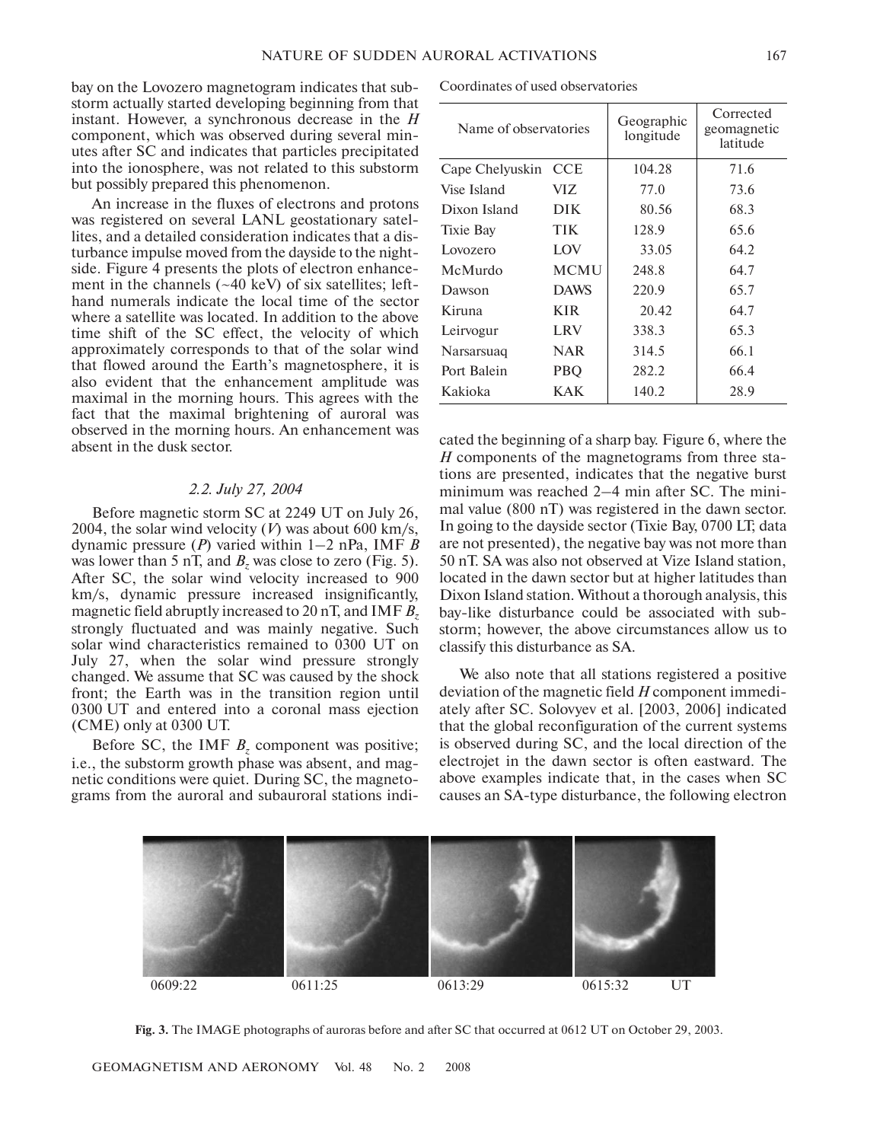bay on the Lovozero magnetogram indicates that sub storm actually started developing beginning from that instant. However, a synchronous decrease in the *H* component, which was observed during several min utes after SC and indicates that particles precipitated into the ionosphere, was not related to this substorm but possibly prepared this phenomenon.

An increase in the fluxes of electrons and protons was registered on several LANL geostationary satel lites, and a detailed consideration indicates that a dis turbance impulse moved from the dayside to the night side. Figure 4 presents the plots of electron enhance ment in the channels  $(-40 \text{ keV})$  of six satellites; lefthand numerals indicate the local time of the sector where a satellite was located. In addition to the above time shift of the SC effect, the velocity of which approximately corresponds to that of the solar wind that flowed around the Earth's magnetosphere, it is also evident that the enhancement amplitude was maximal in the morning hours. This agrees with the fact that the maximal brightening of auroral was observed in the morning hours. An enhancement was absent in the dusk sector.

#### *2.2. July 27, 2004*

Before magnetic storm SC at 2249 UT on July 26, 2004, the solar wind velocity  $(V)$  was about 600 km/s, dynamic pressure (*P*) varied within 1–2 nPa, IMF *B* was lower than 5 nT, and  $B_z$  was close to zero (Fig. 5). After SC, the solar wind velocity increased to 900 km/s, dynamic pressure increased insignificantly, magnetic field abruptly increased to 20 nT, and IMF *Bz* strongly fluctuated and was mainly negative. Such solar wind characteristics remained to 0300 UT on July 27, when the solar wind pressure strongly changed. We assume that SC was caused by the shock front; the Earth was in the transition region until 0300 UT and entered into a coronal mass ejection (CME) only at 0300 UT.

Before SC, the IMF  $B<sub>z</sub>$  component was positive; i.e., the substorm growth phase was absent, and mag netic conditions were quiet. During SC, the magneto grams from the auroral and subauroral stations indi

Coordinates of used observatories

| Name of observatories |             | Geographic<br>longitude | Corrected<br>geomagnetic<br>latitude |
|-----------------------|-------------|-------------------------|--------------------------------------|
| Cape Chelyuskin       | <b>CCE</b>  | 104.28                  | 71.6                                 |
| Vise Island           | VIZ.        | 77.0                    | 73.6                                 |
| Dixon Island          | <b>DIK</b>  | 80.56                   | 68.3                                 |
| Tixie Bay             | <b>TIK</b>  | 128.9                   | 65.6                                 |
| Lovozero              | LOV         | 33.05                   | 64.2                                 |
| McMurdo               | <b>MCMU</b> | 248.8                   | 64.7                                 |
| Dawson                | <b>DAWS</b> | 220.9                   | 65.7                                 |
| Kiruna                | <b>KIR</b>  | 20.42                   | 64.7                                 |
| Leirvogur             | <b>LRV</b>  | 338.3                   | 65.3                                 |
| Narsarsuag            | <b>NAR</b>  | 314.5                   | 66.1                                 |
| Port Balein           | <b>PBQ</b>  | 282.2                   | 66.4                                 |
| Kakioka               | KAK         | 140.2                   | 28.9                                 |

cated the beginning of a sharp bay. Figure 6, where the *H* components of the magnetograms from three stations are presented, indicates that the negative burst minimum was reached 2–4 min after SC. The mini mal value (800 nT) was registered in the dawn sector. In going to the dayside sector (Tixie Bay, 0700 LT; data are not presented), the negative bay was not more than 50 nT. SA was also not observed at Vize Island station, located in the dawn sector but at higher latitudes than Dixon Island station. Without a thorough analysis, this bay-like disturbance could be associated with substorm; however, the above circumstances allow us to classify this disturbance as SA.

We also note that all stations registered a positive deviation of the magnetic field *H* component immedi ately after SC. Solovyev et al. [2003, 2006] indicated that the global reconfiguration of the current systems is observed during SC, and the local direction of the electrojet in the dawn sector is often eastward. The above examples indicate that, in the cases when SC causes an SA-type disturbance, the following electron



**Fig. 3.** The IMAGE photographs of auroras before and after SC that occurred at 0612 UT on October 29, 2003.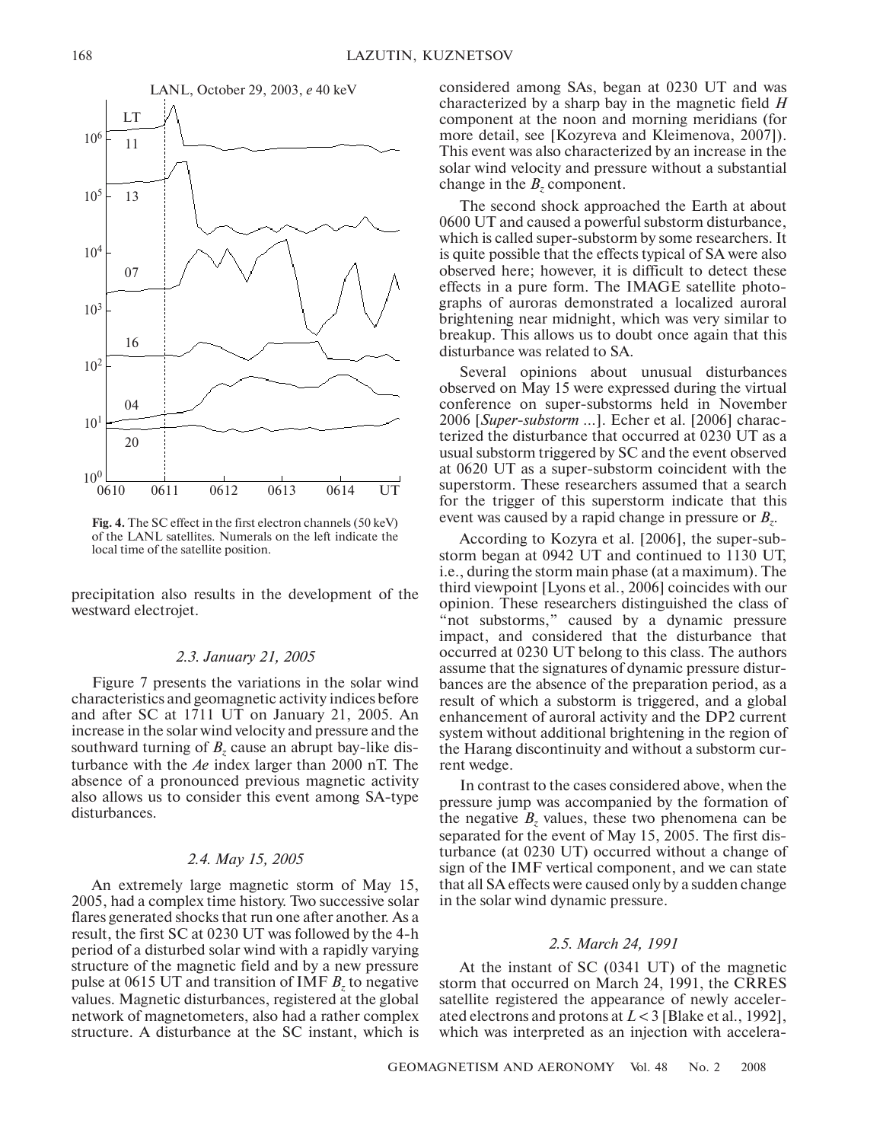

**Fig. 4.** The SC effect in the first electron channels (50 keV) of the LANL satellites. Numerals on the left indicate the local time of the satellite position.

precipitation also results in the development of the westward electrojet.

### *2.3. January 21, 2005*

Figure 7 presents the variations in the solar wind characteristics and geomagnetic activity indices before and after SC at 1711 UT on January 21, 2005. An increase in the solar wind velocity and pressure and the southward turning of  $B_z$  cause an abrupt bay-like disturbance with the *Ae* index larger than 2000 nT. The absence of a pronounced previous magnetic activity also allows us to consider this event among SA-type disturbances.

# *2.4. May 15, 2005*

An extremely large magnetic storm of May 15, 2005, had a complex time history. Two successive solar flares generated shocks that run one after another. As a result, the first SC at 0230 UT was followed by the 4-h period of a disturbed solar wind with a rapidly varying structure of the magnetic field and by a new pressure pulse at 0615 UT and transition of IMF  $B<sub>z</sub>$  to negative values. Magnetic disturbances, registered at the global network of magnetometers, also had a rather complex structure. A disturbance at the SC instant, which is considered among SAs, began at 0230 UT and was characterized by a sharp bay in the magnetic field *H* component at the noon and morning meridians (for more detail, see [Kozyreva and Kleimenova, 2007]). This event was also characterized by an increase in the solar wind velocity and pressure without a substantial change in the  $B<sub>z</sub>$  component.

The second shock approached the Earth at about 0600 UT and caused a powerful substorm disturbance, which is called super-substorm by some researchers. It is quite possible that the effects typical of SA were also observed here; however, it is difficult to detect these effects in a pure form. The IMAGE satellite photo graphs of auroras demonstrated a localized auroral brightening near midnight, which was very similar to breakup. This allows us to doubt once again that this disturbance was related to SA.

Several opinions about unusual disturbances observed on May 15 were expressed during the virtual conference on super-substorms held in November 2006 [Super-substorm ...]. Echer et al. [2006] characterized the disturbance that occurred at 0230 UT as a usual substorm triggered by SC and the event observed at 0620 UT as a super-substorm coincident with the superstorm. These researchers assumed that a search for the trigger of this superstorm indicate that this event was caused by a rapid change in pressure or  $B_z$ .

According to Kozyra et al. [2006], the super-substorm began at 0942 UT and continued to 1130 UT, i.e., during the storm main phase (at a maximum). The third viewpoint [Lyons et al., 2006] coincides with our opinion. These researchers distinguished the class of "not substorms," caused by a dynamic pressure impact, and considered that the disturbance that occurred at 0230 UT belong to this class. The authors assume that the signatures of dynamic pressure distur bances are the absence of the preparation period, as a result of which a substorm is triggered, and a global enhancement of auroral activity and the DP2 current system without additional brightening in the region of the Harang discontinuity and without a substorm cur rent wedge.

In contrast to the cases considered above, when the pressure jump was accompanied by the formation of the negative  $B_z$  values, these two phenomena can be separated for the event of May 15, 2005. The first dis turbance (at 0230 UT) occurred without a change of sign of the IMF vertical component, and we can state that all SA effects were caused only by a sudden change in the solar wind dynamic pressure.

## *2.5. March 24, 1991*

At the instant of SC (0341 UT) of the magnetic storm that occurred on March 24, 1991, the CRRES satellite registered the appearance of newly acceler ated electrons and protons at *L* < 3 [Blake et al., 1992], which was interpreted as an injection with accelera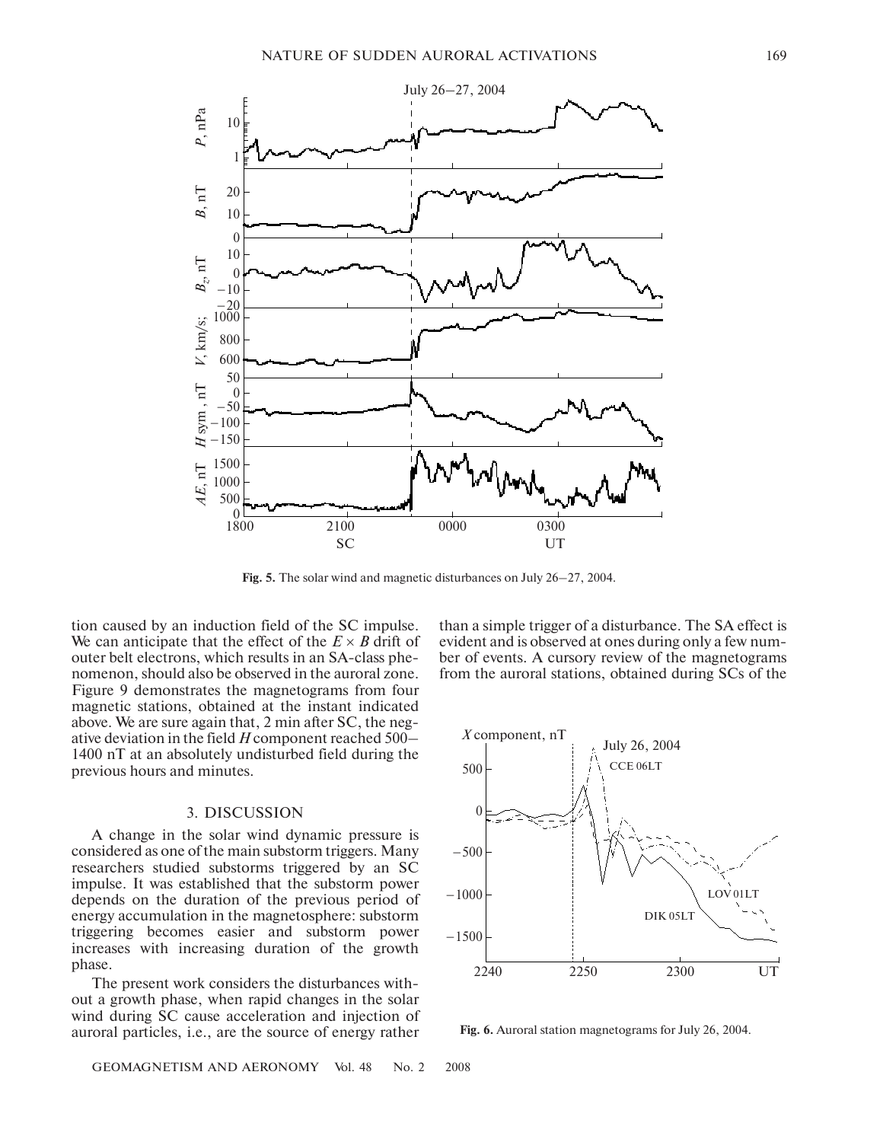

**Fig. 5.** The solar wind and magnetic disturbances on July 26–27, 2004.

tion caused by an induction field of the SC impulse. We can anticipate that the effect of the  $E \times B$  drift of outer belt electrons, which results in an SA-class phenomenon, should also be observed in the auroral zone. Figure 9 demonstrates the magnetograms from four magnetic stations, obtained at the instant indicated above. We are sure again that, 2 min after SC, the neg ative deviation in the field *H* component reached 500– 1400 nT at an absolutely undisturbed field during the previous hours and minutes.

## 3. DISCUSSION

A change in the solar wind dynamic pressure is considered as one of the main substorm triggers. Many researchers studied substorms triggered by an SC impulse. It was established that the substorm power depends on the duration of the previous period of energy accumulation in the magnetosphere: substorm triggering becomes easier and substorm power increases with increasing duration of the growth phase.

The present work considers the disturbances with out a growth phase, when rapid changes in the solar wind during SC cause acceleration and injection of auroral particles, i.e., are the source of energy rather

than a simple trigger of a disturbance. The SA effect is evident and is observed at ones during only a few num ber of events. A cursory review of the magnetograms from the auroral stations, obtained during SCs of the



**Fig. 6.** Auroral station magnetograms for July 26, 2004.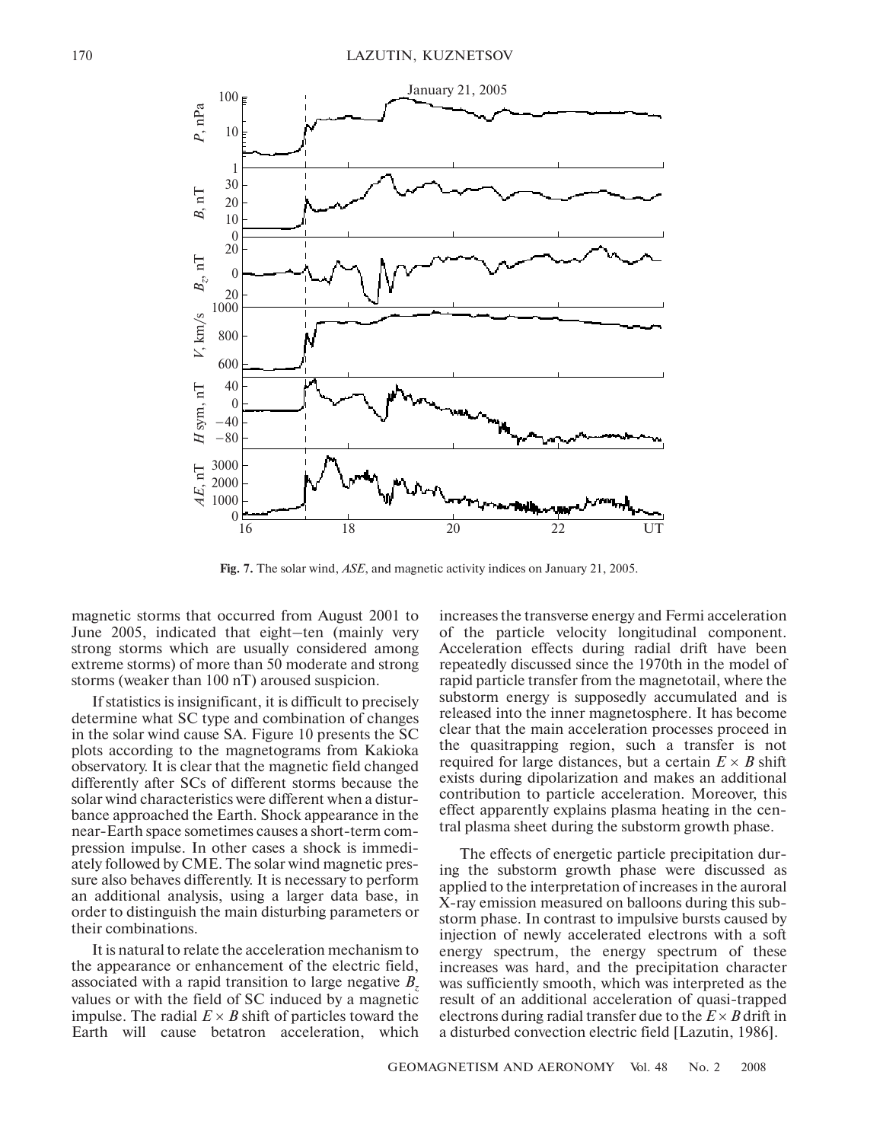

**Fig. 7.** The solar wind, *ASE*, and magnetic activity indices on January 21, 2005.

magnetic storms that occurred from August 2001 to June 2005, indicated that eight–ten (mainly very strong storms which are usually considered among extreme storms) of more than 50 moderate and strong storms (weaker than 100 nT) aroused suspicion.

If statistics is insignificant, it is difficult to precisely determine what SC type and combination of changes in the solar wind cause SA. Figure 10 presents the SC plots according to the magnetograms from Kakioka observatory. It is clear that the magnetic field changed differently after SCs of different storms because the solar wind characteristics were different when a distur bance approached the Earth. Shock appearance in the near-Earth space sometimes causes a short-term compression impulse. In other cases a shock is immedi ately followed by CME. The solar wind magnetic pres sure also behaves differently. It is necessary to perform an additional analysis, using a larger data base, in order to distinguish the main disturbing parameters or their combinations.

It is natural to relate the acceleration mechanism to the appearance or enhancement of the electric field, associated with a rapid transition to large negative *Bz* values or with the field of SC induced by a magnetic impulse. The radial  $E \times B$  shift of particles toward the Earth will cause betatron acceleration, which increases the transverse energy and Fermi acceleration of the particle velocity longitudinal component. Acceleration effects during radial drift have been repeatedly discussed since the 1970th in the model of rapid particle transfer from the magnetotail, where the substorm energy is supposedly accumulated and is released into the inner magnetosphere. It has become clear that the main acceleration processes proceed in the quasitrapping region, such a transfer is not required for large distances, but a certain  $E \times B$  shift exists during dipolarization and makes an additional contribution to particle acceleration. Moreover, this effect apparently explains plasma heating in the cen tral plasma sheet during the substorm growth phase.

The effects of energetic particle precipitation dur ing the substorm growth phase were discussed as applied to the interpretation of increases in the auroral X-ray emission measured on balloons during this substorm phase. In contrast to impulsive bursts caused by injection of newly accelerated electrons with a soft energy spectrum, the energy spectrum of these increases was hard, and the precipitation character was sufficiently smooth, which was interpreted as the result of an additional acceleration of quasi-trapped electrons during radial transfer due to the  $E \times B$  drift in a disturbed convection electric field [Lazutin, 1986].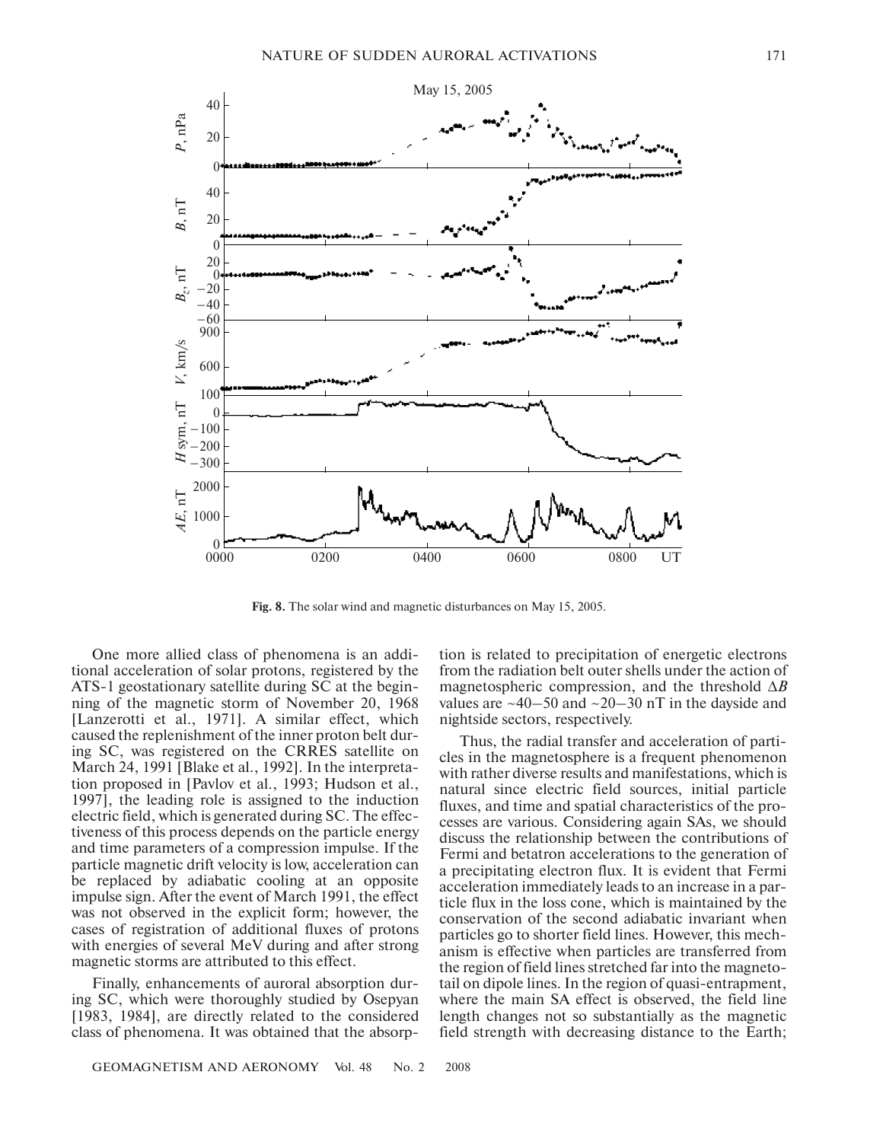

**Fig. 8.** The solar wind and magnetic disturbances on May 15, 2005.

One more allied class of phenomena is an addi tional acceleration of solar protons, registered by the ATS-1 geostationary satellite during SC at the beginning of the magnetic storm of November 20, 1968 [Lanzerotti et al., 1971]. A similar effect, which caused the replenishment of the inner proton belt dur ing SC, was registered on the CRRES satellite on March 24, 1991 [Blake et al., 1992]. In the interpreta tion proposed in [Pavlov et al., 1993; Hudson et al., 1997], the leading role is assigned to the induction electric field, which is generated during SC. The effec tiveness of this process depends on the particle energy and time parameters of a compression impulse. If the particle magnetic drift velocity is low, acceleration can be replaced by adiabatic cooling at an opposite impulse sign. After the event of March 1991, the effect was not observed in the explicit form; however, the cases of registration of additional fluxes of protons with energies of several MeV during and after strong magnetic storms are attributed to this effect.

Finally, enhancements of auroral absorption dur ing SC, which were thoroughly studied by Osepyan [1983, 1984], are directly related to the considered class of phenomena. It was obtained that the absorp

tion is related to precipitation of energetic electrons from the radiation belt outer shells under the action of magnetospheric compression, and the threshold ∆*B* values are  $\sim$ 40–50 and  $\sim$ 20–30 nT in the dayside and nightside sectors, respectively.

Thus, the radial transfer and acceleration of parti cles in the magnetosphere is a frequent phenomenon with rather diverse results and manifestations, which is natural since electric field sources, initial particle fluxes, and time and spatial characteristics of the pro cesses are various. Considering again SAs, we should discuss the relationship between the contributions of Fermi and betatron accelerations to the generation of a precipitating electron flux. It is evident that Fermi acceleration immediately leads to an increase in a par ticle flux in the loss cone, which is maintained by the conservation of the second adiabatic invariant when particles go to shorter field lines. However, this mech anism is effective when particles are transferred from the region of field lines stretched far into the magneto tail on dipole lines. In the region of quasi-entrapment, where the main SA effect is observed, the field line length changes not so substantially as the magnetic field strength with decreasing distance to the Earth;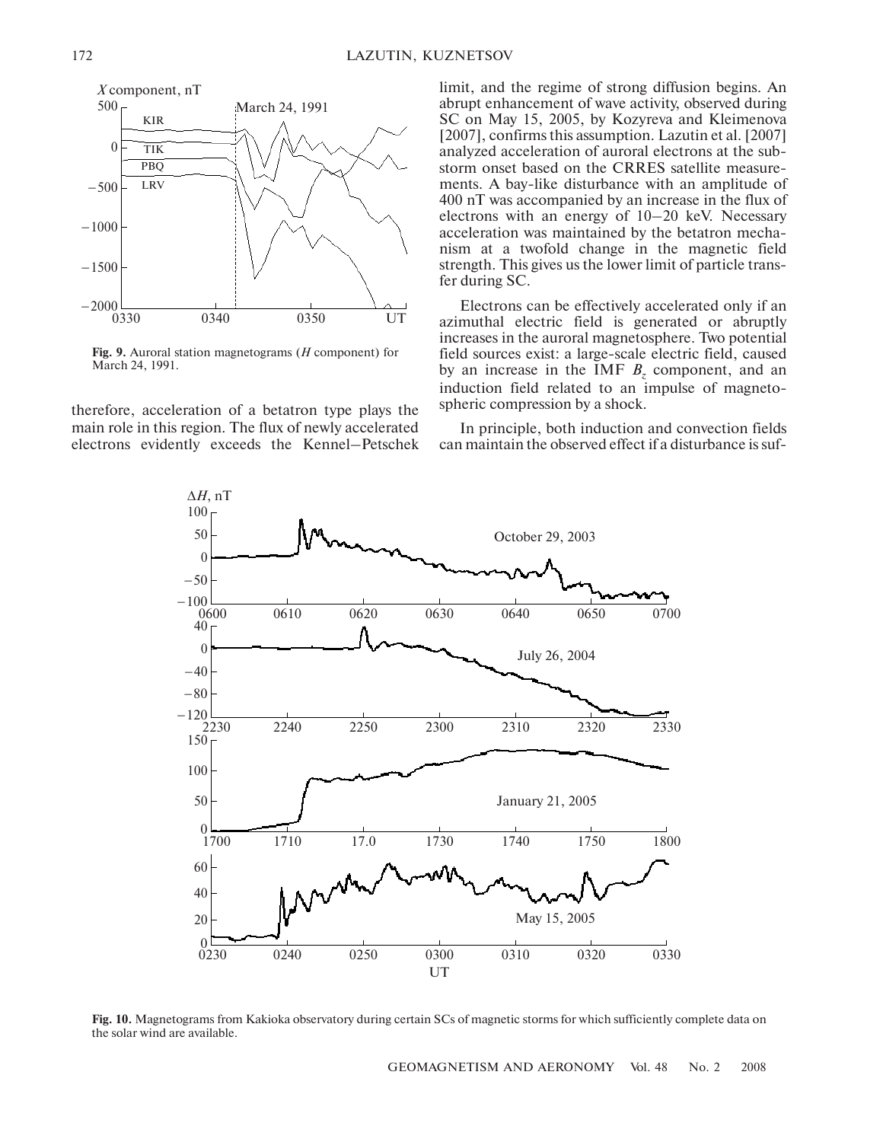

**Fig. 9.** Auroral station magnetograms (*H* component) for March 24, 1991.

therefore, acceleration of a betatron type plays the main role in this region. The flux of newly accelerated electrons evidently exceeds the Kennel–Petschek limit, and the regime of strong diffusion begins. An abrupt enhancement of wave activity, observed during SC on May 15, 2005, by Kozyreva and Kleimenova [2007], confirms this assumption. Lazutin et al. [2007] analyzed acceleration of auroral electrons at the sub storm onset based on the CRRES satellite measure ments. A bay-like disturbance with an amplitude of 400 nT was accompanied by an increase in the flux of electrons with an energy of 10–20 keV. Necessary acceleration was maintained by the betatron mecha nism at a twofold change in the magnetic field strength. This gives us the lower limit of particle trans fer during SC.

Electrons can be effectively accelerated only if an azimuthal electric field is generated or abruptly increases in the auroral magnetosphere. Two potential field sources exist: a large-scale electric field, caused by an increase in the IMF  $B<sub>z</sub>$  component, and an induction field related to an impulse of magneto spheric compression by a shock.

In principle, both induction and convection fields can maintain the observed effect if a disturbance is suf



**Fig. 10.** Magnetograms from Kakioka observatory during certain SCs of magnetic storms for which sufficiently complete data on the solar wind are available.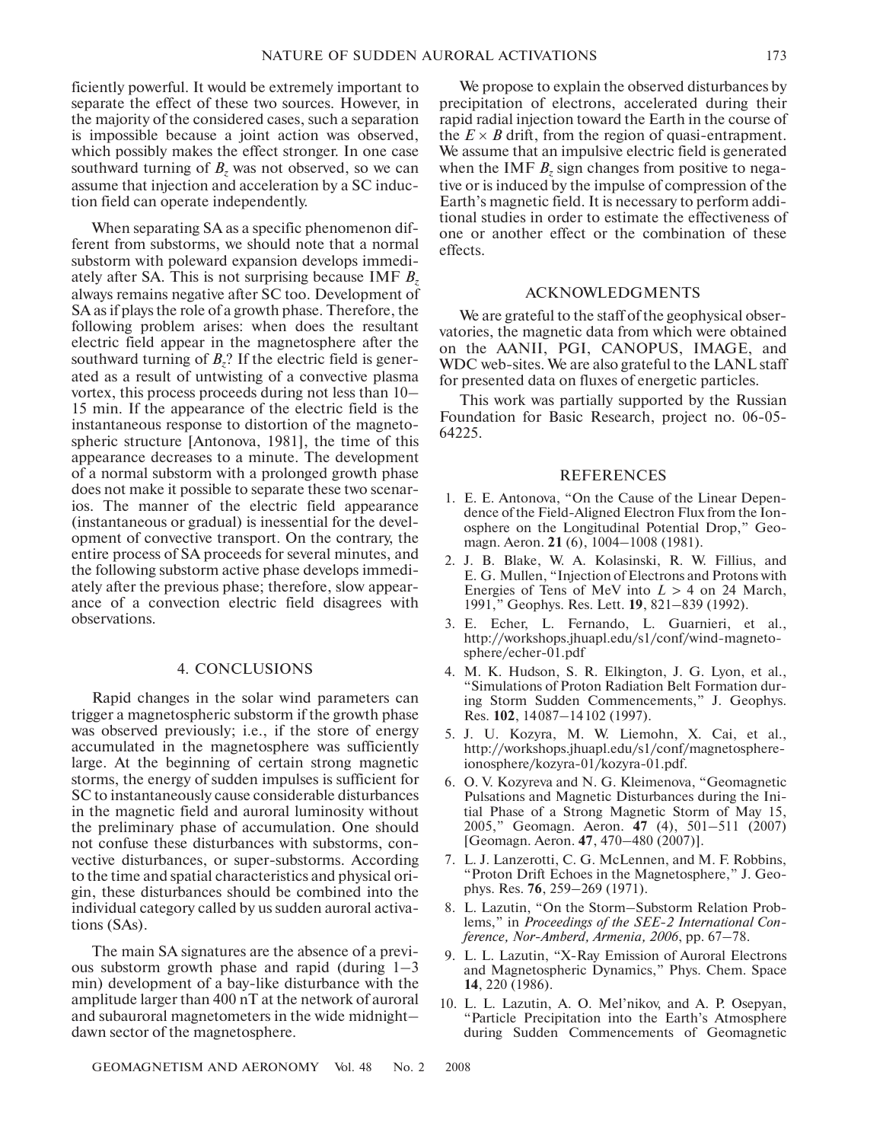ficiently powerful. It would be extremely important to separate the effect of these two sources. However, in the majority of the considered cases, such a separation is impossible because a joint action was observed, which possibly makes the effect stronger. In one case southward turning of  $B_z$  was not observed, so we can assume that injection and acceleration by a SC induc tion field can operate independently.

When separating SA as a specific phenomenon dif ferent from substorms, we should note that a normal substorm with poleward expansion develops immedi ately after SA. This is not surprising because IMF *Bz* always remains negative after SC too. Development of SA as if plays the role of a growth phase. Therefore, the following problem arises: when does the resultant electric field appear in the magnetosphere after the southward turning of  $B_7$ ? If the electric field is generated as a result of untwisting of a convective plasma vortex, this process proceeds during not less than 10– 15 min. If the appearance of the electric field is the instantaneous response to distortion of the magneto spheric structure [Antonova, 1981], the time of this appearance decreases to a minute. The development of a normal substorm with a prolonged growth phase does not make it possible to separate these two scenar ios. The manner of the electric field appearance (instantaneous or gradual) is inessential for the devel opment of convective transport. On the contrary, the entire process of SA proceeds for several minutes, and the following substorm active phase develops immedi ately after the previous phase; therefore, slow appear ance of a convection electric field disagrees with observations.

## 4. CONCLUSIONS

Rapid changes in the solar wind parameters can trigger a magnetospheric substorm if the growth phase was observed previously; i.e., if the store of energy accumulated in the magnetosphere was sufficiently large. At the beginning of certain strong magnetic storms, the energy of sudden impulses is sufficient for SC to instantaneously cause considerable disturbances in the magnetic field and auroral luminosity without the preliminary phase of accumulation. One should not confuse these disturbances with substorms, con vective disturbances, or super-substorms. According to the time and spatial characteristics and physical ori gin, these disturbances should be combined into the individual category called by us sudden auroral activa tions (SAs).

The main SA signatures are the absence of a previ ous substorm growth phase and rapid (during 1–3 min) development of a bay-like disturbance with the amplitude larger than 400 nT at the network of auroral and subauroral magnetometers in the wide midnight– dawn sector of the magnetosphere.

We propose to explain the observed disturbances by precipitation of electrons, accelerated during their rapid radial injection toward the Earth in the course of the  $E \times B$  drift, from the region of quasi-entrapment. We assume that an impulsive electric field is generated when the IMF *B<sub>z</sub>* sign changes from positive to negative or is induced by the impulse of compression of the Earth's magnetic field. It is necessary to perform addi tional studies in order to estimate the effectiveness of one or another effect or the combination of these effects.

### ACKNOWLEDGMENTS

We are grateful to the staff of the geophysical observatories, the magnetic data from which were obtained on the AANII, PGI, CANOPUS, IMAGE, and WDC web-sites. We are also grateful to the LANL staff for presented data on fluxes of energetic particles.

This work was partially supported by the Russian Foundation for Basic Research, project no. 06-05-64225.

## REFERENCES

- 1. E. E. Antonova, "On the Cause of the Linear Depen dence of the Field-Aligned Electron Flux from the Ionosphere on the Longitudinal Potential Drop," Geo magn. Aeron. **21** (6), 1004–1008 (1981).
- 2. J. B. Blake, W. A. Kolasinski, R. W. Fillius, and E. G. Mullen, "Injection of Electrons and Protons with Energies of Tens of MeV into  $L > 4$  on 24 March, 1991," Geophys. Res. Lett. **19**, 821–839 (1992).
- 3. E. Echer, L. Fernando, L. Guarnieri, et al., http://workshops.jhuapl.edu/s1/conf/wind-magnetosphere/echer-01.pdf
- 4. M. K. Hudson, S. R. Elkington, J. G. Lyon, et al., "Simulations of Proton Radiation Belt Formation dur ing Storm Sudden Commencements," J. Geophys. Res. **102**, 14087–14102 (1997).
- 5. J. U. Kozyra, M. W. Liemohn, X. Cai, et al., http://workshops.jhuapl.edu/s1/conf/magnetosphere ionosphere/kozyra-01/kozyra-01.pdf.
- 6. O. V. Kozyreva and N. G. Kleimenova, "Geomagnetic Pulsations and Magnetic Disturbances during the Ini tial Phase of a Strong Magnetic Storm of May 15, 2005," Geomagn. Aeron. **47** (4), 501–511 (2007) [Geomagn. Aeron. **47**, 470–480 (2007)].
- 7. L. J. Lanzerotti, C. G. McLennen, and M. F. Robbins, "Proton Drift Echoes in the Magnetosphere," J. Geo phys. Res. **76**, 259–269 (1971).
- 8. L. Lazutin, "On the Storm–Substorm Relation Prob lems," in *Proceedings of the SEE2 International Con ference, NorAmberd, Armenia, 2006*, pp. 67–78.
- 9. L. L. Lazutin, "X-Ray Emission of Auroral Electrons and Magnetospheric Dynamics," Phys. Chem. Space **14**, 220 (1986).
- 10. L. L. Lazutin, A. O. Mel'nikov, and A. P. Osepyan, "Particle Precipitation into the Earth's Atmosphere during Sudden Commencements of Geomagnetic